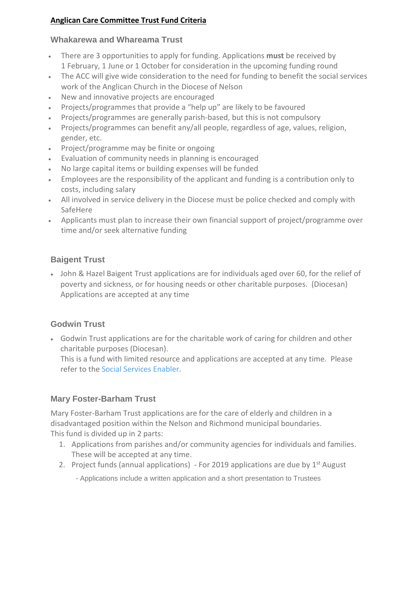#### **Anglican Care Committee Trust Fund Criteria**

#### **Whakarewa and Whareama Trust**

- There are 3 opportunities to apply for funding. Applications **must** be received by 1 February, 1 June or 1 October for consideration in the upcoming funding round
- The ACC will give wide consideration to the need for funding to benefit the social services work of the Anglican Church in the Diocese of Nelson
- New and innovative projects are encouraged
- Projects/programmes that provide a "help up" are likely to be favoured
- Projects/programmes are generally parish-based, but this is not compulsory
- Projects/programmes can benefit any/all people, regardless of age, values, religion, gender, etc.
- Project/programme may be finite or ongoing
- Evaluation of community needs in planning is encouraged
- No large capital items or building expenses will be funded
- Employees are the responsibility of the applicant and funding is a contribution only to costs, including salary
- All involved in service delivery in the Diocese must be police checked and comply with SafeHere
- Applicants must plan to increase their own financial support of project/programme over time and/or seek alternative funding

## **Baigent Trust**

• John & Hazel Baigent Trust applications are for individuals aged over 60, for the relief of poverty and sickness, or for housing needs or other charitable purposes. (Diocesan) Applications are accepted at any time

## **Godwin Trust**

• Godwin Trust applications are for the charitable work of caring for children and other charitable purposes (Diocesan).

This is a fund with limited resource and applications are accepted at any time. Please refer to the [Social Services Enabler.](https://www.nelsonanglican.nz/socialservices)

## **Mary Foster-Barham Trust**

Mary Foster-Barham Trust applications are for the care of elderly and children in a disadvantaged position within the Nelson and Richmond municipal boundaries. This fund is divided up in 2 parts:

- 1. Applications from parishes and/or community agencies for individuals and families. These will be accepted at any time.
- 2. Project funds (annual applications) For 2019 applications are due by  $1<sup>st</sup>$  August
	- Applications include a written application and a short presentation to Trustees